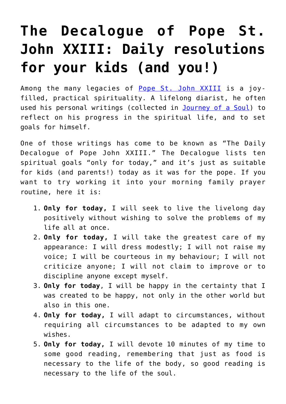## **[The Decalogue of Pope St.](https://www.teachingcatholickids.com/the-decalogue-of-st-pope-john-xxiii/) [John XXIII: Daily resolutions](https://www.teachingcatholickids.com/the-decalogue-of-st-pope-john-xxiii/) [for your kids \(and you!\)](https://www.teachingcatholickids.com/the-decalogue-of-st-pope-john-xxiii/)**

Among the many legacies of [Pope St. John XXIII](https://www.osvnews.com/2018/07/01/pope-st-john-xxiii-joyful-prophet-of-renewal/) is a joyfilled, practical spirituality. A lifelong diarist, he often used his personal writings (collected in [Journey of a Soul\)](http://amzn.to/2gbCOxU) to reflect on his progress in the spiritual life, and to set goals for himself.

One of those writings has come to be known as "The Daily Decalogue of Pope John XXIII." The Decalogue lists ten spiritual goals "only for today," and it's just as suitable for kids (and parents!) today as it was for the pope. If you want to try working it into your morning family prayer routine, here it is:

- 1. **Only for today,** I will seek to live the livelong day positively without wishing to solve the problems of my life all at once.
- 2. **Only for today,** I will take the greatest care of my appearance: I will dress modestly; I will not raise my voice; I will be courteous in my behaviour; I will not criticize anyone; I will not claim to improve or to discipline anyone except myself.
- 3. **Only for today**, I will be happy in the certainty that I was created to be happy, not only in the other world but also in this one.
- 4. **Only for today,** I will adapt to circumstances, without requiring all circumstances to be adapted to my own wishes.
- 5. **Only for today,** I will devote 10 minutes of my time to some good reading, remembering that just as food is necessary to the life of the body, so good reading is necessary to the life of the soul.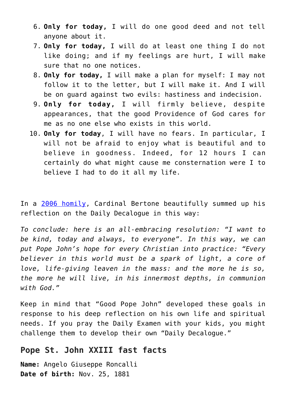- 6. **Only for today,** I will do one good deed and not tell anyone about it.
- 7. **Only for today,** I will do at least one thing I do not like doing; and if my feelings are hurt, I will make sure that no one notices.
- 8. **Only for today,** I will make a plan for myself: I may not follow it to the letter, but I will make it. And I will be on guard against two evils: hastiness and indecision.
- 9. **Only for today,** I will firmly believe, despite appearances, that the good Providence of God cares for me as no one else who exists in this world.
- 10. **Only for today**, I will have no fears. In particular, I will not be afraid to enjoy what is beautiful and to believe in goodness. Indeed, for 12 hours I can certainly do what might cause me consternation were I to believe I had to do it all my life.

In a [2006 homily](http://www.vatican.va/roman_curia/secretariat_state/card-bertone/2006/documents/rc_seg-st_20061011_john-xxiii_en.html), Cardinal Bertone beautifully summed up his reflection on the Daily Decalogue in this way:

*To conclude: here is an all-embracing resolution: "I want to be kind, today and always, to everyone". In this way, we can put Pope John's hope for every Christian into practice: "Every believer in this world must be a spark of light, a core of love, life-giving leaven in the mass: and the more he is so, the more he will live, in his innermost depths, in communion with God."*

Keep in mind that "Good Pope John" developed these goals in response to his deep reflection on his own life and spiritual needs. If you pray the Daily Examen with your kids, you might challenge them to develop their own "Daily Decalogue."

## **Pope St. John XXIII fast facts**

**Name:** Angelo Giuseppe Roncalli **Date of birth:** Nov. 25, 1881